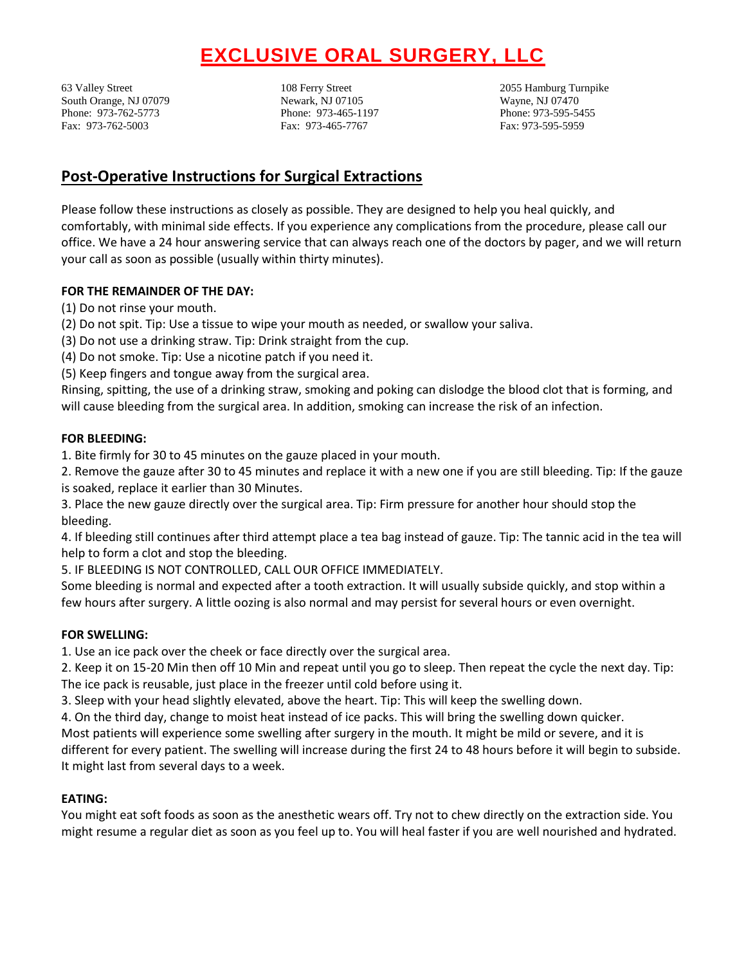# **EXCLUSIVE ORAL SURGERY, LLC**

63 Valley Street 108 Ferry Street 2055 Hamburg Turnpike South Orange, NJ 07079 Newark, NJ 07105 Wayne, NJ 07470 Phone: 973-762-5773 Phone: 973-465-1197 Phone: 973-595-5455 Fax: 973-762-5003 Fax: 973-465-7767 Fax: 973-595-5959

# **Post-Operative Instructions for Surgical Extractions**

Please follow these instructions as closely as possible. They are designed to help you heal quickly, and comfortably, with minimal side effects. If you experience any complications from the procedure, please call our office. We have a 24 hour answering service that can always reach one of the doctors by pager, and we will return your call as soon as possible (usually within thirty minutes).

# **FOR THE REMAINDER OF THE DAY:**

- (1) Do not rinse your mouth.
- (2) Do not spit. Tip: Use a tissue to wipe your mouth as needed, or swallow your saliva.
- (3) Do not use a drinking straw. Tip: Drink straight from the cup.
- (4) Do not smoke. Tip: Use a nicotine patch if you need it.
- (5) Keep fingers and tongue away from the surgical area.

Rinsing, spitting, the use of a drinking straw, smoking and poking can dislodge the blood clot that is forming, and will cause bleeding from the surgical area. In addition, smoking can increase the risk of an infection.

## **FOR BLEEDING:**

1. Bite firmly for 30 to 45 minutes on the gauze placed in your mouth.

2. Remove the gauze after 30 to 45 minutes and replace it with a new one if you are still bleeding. Tip: If the gauze is soaked, replace it earlier than 30 Minutes.

3. Place the new gauze directly over the surgical area. Tip: Firm pressure for another hour should stop the bleeding.

4. If bleeding still continues after third attempt place a tea bag instead of gauze. Tip: The tannic acid in the tea will help to form a clot and stop the bleeding.

5. IF BLEEDING IS NOT CONTROLLED, CALL OUR OFFICE IMMEDIATELY.

Some bleeding is normal and expected after a tooth extraction. It will usually subside quickly, and stop within a few hours after surgery. A little oozing is also normal and may persist for several hours or even overnight.

## **FOR SWELLING:**

1. Use an ice pack over the cheek or face directly over the surgical area.

2. Keep it on 15-20 Min then off 10 Min and repeat until you go to sleep. Then repeat the cycle the next day. Tip: The ice pack is reusable, just place in the freezer until cold before using it.

3. Sleep with your head slightly elevated, above the heart. Tip: This will keep the swelling down.

4. On the third day, change to moist heat instead of ice packs. This will bring the swelling down quicker.

Most patients will experience some swelling after surgery in the mouth. It might be mild or severe, and it is different for every patient. The swelling will increase during the first 24 to 48 hours before it will begin to subside. It might last from several days to a week.

## **EATING:**

You might eat soft foods as soon as the anesthetic wears off. Try not to chew directly on the extraction side. You might resume a regular diet as soon as you feel up to. You will heal faster if you are well nourished and hydrated.